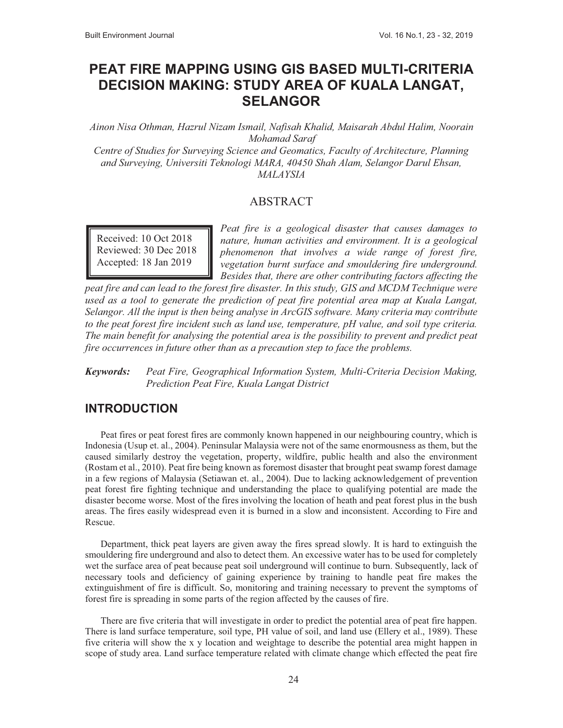# **PEAT FIRE MAPPING USING GIS BASED MULTI-CRITERIA DECISION MAKING: STUDY AREA OF KUALA LANGAT, SELANGOR**

*Ainon Nisa Othman, Hazrul Nizam Ismail, Nafisah Khalid, Maisarah Abdul Halim, Noorain Mohamad Saraf* 

*Centre of Studies for Surveying Science and Geomatics, Faculty of Architecture, Planning and Surveying, Universiti Teknologi MARA, 40450 Shah Alam, Selangor Darul Ehsan, MALAYSIA*

#### ABSTRACT

Received: 10 Oct 2018 Reviewed: 30 Dec 2018 Accepted: 18 Jan 2019

*Peat fire is a geological disaster that causes damages to nature, human activities and environment. It is a geological phenomenon that involves a wide range of forest fire, vegetation burnt surface and smouldering fire underground. Besides that, there are other contributing factors affecting the* 

*peat fire and can lead to the forest fire disaster. In this study, GIS and MCDM Technique were used as a tool to generate the prediction of peat fire potential area map at Kuala Langat, Selangor. All the input is then being analyse in ArcGIS software. Many criteria may contribute to the peat forest fire incident such as land use, temperature, pH value, and soil type criteria. The main benefit for analysing the potential area is the possibility to prevent and predict peat fire occurrences in future other than as a precaution step to face the problems.* 

*Keywords: Peat Fire, Geographical Information System, Multi-Criteria Decision Making, Prediction Peat Fire, Kuala Langat District* 

## **INTRODUCTION**

Peat fires or peat forest fires are commonly known happened in our neighbouring country, which is Indonesia (Usup et. al., 2004). Peninsular Malaysia were not of the same enormousness as them, but the caused similarly destroy the vegetation, property, wildfire, public health and also the environment (Rostam et al., 2010). Peat fire being known as foremost disaster that brought peat swamp forest damage in a few regions of Malaysia (Setiawan et. al., 2004). Due to lacking acknowledgement of prevention peat forest fire fighting technique and understanding the place to qualifying potential are made the disaster become worse. Most of the fires involving the location of heath and peat forest plus in the bush areas. The fires easily widespread even it is burned in a slow and inconsistent. According to Fire and Rescue.

Department, thick peat layers are given away the fires spread slowly. It is hard to extinguish the smouldering fire underground and also to detect them. An excessive water has to be used for completely wet the surface area of peat because peat soil underground will continue to burn. Subsequently, lack of necessary tools and deficiency of gaining experience by training to handle peat fire makes the extinguishment of fire is difficult. So, monitoring and training necessary to prevent the symptoms of forest fire is spreading in some parts of the region affected by the causes of fire.

There are five criteria that will investigate in order to predict the potential area of peat fire happen. There is land surface temperature, soil type, PH value of soil, and land use (Ellery et al., 1989). These five criteria will show the x y location and weightage to describe the potential area might happen in scope of study area. Land surface temperature related with climate change which effected the peat fire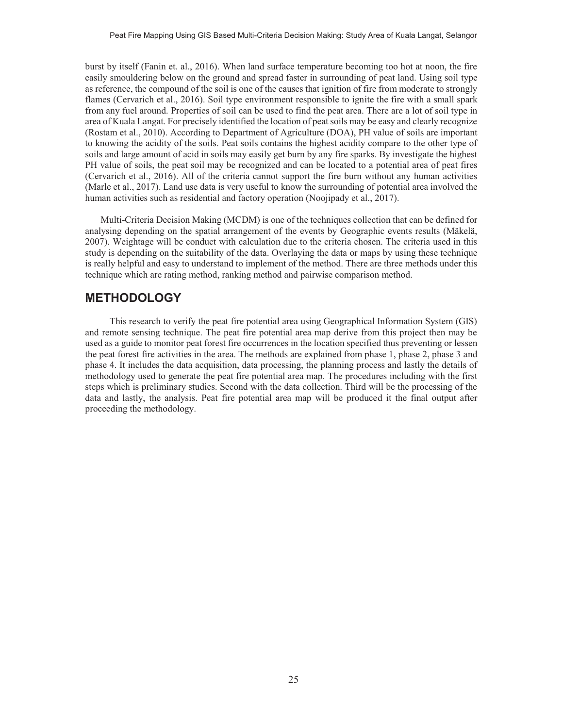burst by itself (Fanin et. al., 2016). When land surface temperature becoming too hot at noon, the fire easily smouldering below on the ground and spread faster in surrounding of peat land. Using soil type as reference, the compound of the soil is one of the causes that ignition of fire from moderate to strongly flames (Cervarich et al., 2016). Soil type environment responsible to ignite the fire with a small spark from any fuel around. Properties of soil can be used to find the peat area. There are a lot of soil type in area of Kuala Langat. For precisely identified the location of peat soils may be easy and clearly recognize (Rostam et al., 2010). According to Department of Agriculture (DOA), PH value of soils are important to knowing the acidity of the soils. Peat soils contains the highest acidity compare to the other type of soils and large amount of acid in soils may easily get burn by any fire sparks. By investigate the highest PH value of soils, the peat soil may be recognized and can be located to a potential area of peat fires (Cervarich et al., 2016). All of the criteria cannot support the fire burn without any human activities (Marle et al., 2017). Land use data is very useful to know the surrounding of potential area involved the human activities such as residential and factory operation (Noojipady et al., 2017).

Multi-Criteria Decision Making (MCDM) is one of the techniques collection that can be defined for analysing depending on the spatial arrangement of the events by Geographic events results (Mäkelä, 2007). Weightage will be conduct with calculation due to the criteria chosen. The criteria used in this study is depending on the suitability of the data. Overlaying the data or maps by using these technique is really helpful and easy to understand to implement of the method. There are three methods under this technique which are rating method, ranking method and pairwise comparison method.

## **METHODOLOGY**

This research to verify the peat fire potential area using Geographical Information System (GIS) and remote sensing technique. The peat fire potential area map derive from this project then may be used as a guide to monitor peat forest fire occurrences in the location specified thus preventing or lessen the peat forest fire activities in the area. The methods are explained from phase 1, phase 2, phase 3 and phase 4. It includes the data acquisition, data processing, the planning process and lastly the details of methodology used to generate the peat fire potential area map. The procedures including with the first steps which is preliminary studies. Second with the data collection. Third will be the processing of the data and lastly, the analysis. Peat fire potential area map will be produced it the final output after proceeding the methodology.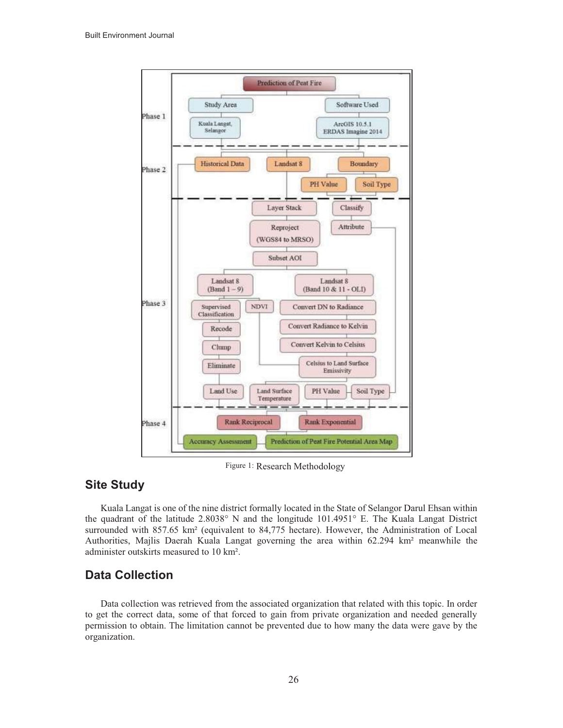

Figure 1: Research Methodology

## **Site Study**

Kuala Langat is one of the nine district formally located in the State of Selangor Darul Ehsan within the quadrant of the latitude 2.8038° N and the longitude 101.4951° E. The Kuala Langat District surrounded with 857.65 km² (equivalent to 84,775 hectare). However, the Administration of Local Authorities, Majlis Daerah Kuala Langat governing the area within 62.294 km² meanwhile the administer outskirts measured to 10 km².

## **Data Collection**

Data collection was retrieved from the associated organization that related with this topic. In order to get the correct data, some of that forced to gain from private organization and needed generally permission to obtain. The limitation cannot be prevented due to how many the data were gave by the organization.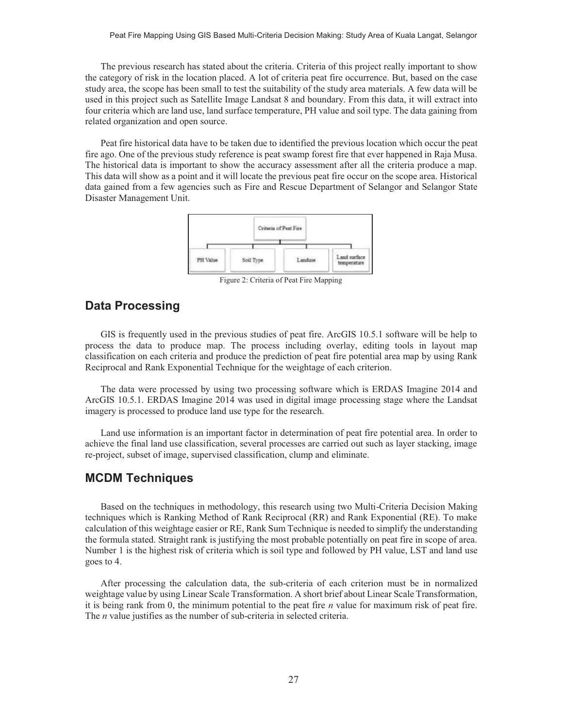The previous research has stated about the criteria. Criteria of this project really important to show the category of risk in the location placed. A lot of criteria peat fire occurrence. But, based on the case study area, the scope has been small to test the suitability of the study area materials. A few data will be used in this project such as Satellite Image Landsat 8 and boundary. From this data, it will extract into four criteria which are land use, land surface temperature, PH value and soil type. The data gaining from related organization and open source.

Peat fire historical data have to be taken due to identified the previous location which occur the peat fire ago. One of the previous study reference is peat swamp forest fire that ever happened in Raja Musa. The historical data is important to show the accuracy assessment after all the criteria produce a map. This data will show as a point and it will locate the previous peat fire occur on the scope area. Historical data gained from a few agencies such as Fire and Rescue Department of Selangor and Selangor State Disaster Management Unit.



Figure 2: Criteria of Peat Fire Mapping

### **Data Processing**

GIS is frequently used in the previous studies of peat fire. ArcGIS 10.5.1 software will be help to process the data to produce map. The process including overlay, editing tools in layout map classification on each criteria and produce the prediction of peat fire potential area map by using Rank Reciprocal and Rank Exponential Technique for the weightage of each criterion.

The data were processed by using two processing software which is ERDAS Imagine 2014 and ArcGIS 10.5.1. ERDAS Imagine 2014 was used in digital image processing stage where the Landsat imagery is processed to produce land use type for the research.

Land use information is an important factor in determination of peat fire potential area. In order to achieve the final land use classification, several processes are carried out such as layer stacking, image re-project, subset of image, supervised classification, clump and eliminate.

#### **MCDM Techniques**

Based on the techniques in methodology, this research using two Multi-Criteria Decision Making techniques which is Ranking Method of Rank Reciprocal (RR) and Rank Exponential (RE). To make calculation of this weightage easier or RE, Rank Sum Technique is needed to simplify the understanding the formula stated. Straight rank is justifying the most probable potentially on peat fire in scope of area. Number 1 is the highest risk of criteria which is soil type and followed by PH value, LST and land use goes to 4.

After processing the calculation data, the sub-criteria of each criterion must be in normalized weightage value by using Linear Scale Transformation. A short brief about Linear Scale Transformation, it is being rank from 0, the minimum potential to the peat fire *n* value for maximum risk of peat fire. The *n* value justifies as the number of sub-criteria in selected criteria.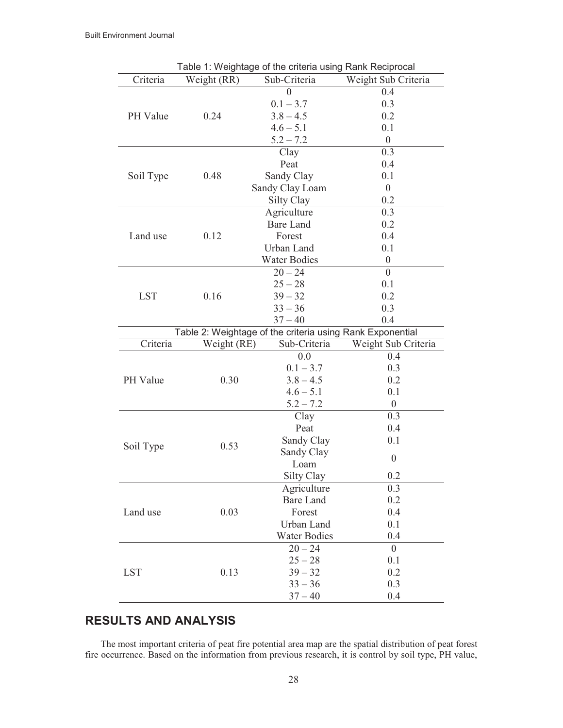| Table 1: Weightage of the criteria using Rank Reciprocal |             |                                                           |                     |  |  |  |
|----------------------------------------------------------|-------------|-----------------------------------------------------------|---------------------|--|--|--|
| Criteria                                                 | Weight (RR) | Sub-Criteria                                              | Weight Sub Criteria |  |  |  |
|                                                          |             | $\theta$                                                  | 0.4                 |  |  |  |
|                                                          |             | $0.1 - 3.7$                                               | 0.3                 |  |  |  |
| PH Value                                                 | 0.24        | $3.8 - 4.5$                                               | 0.2                 |  |  |  |
|                                                          |             | $4.6 - 5.1$                                               | 0.1                 |  |  |  |
|                                                          |             | $5.2 - 7.2$                                               | $\boldsymbol{0}$    |  |  |  |
|                                                          |             | Clay                                                      | 0.3                 |  |  |  |
|                                                          |             | Peat                                                      | 0.4                 |  |  |  |
| Soil Type                                                | 0.48        | Sandy Clay                                                | 0.1                 |  |  |  |
|                                                          |             | Sandy Clay Loam                                           | $\boldsymbol{0}$    |  |  |  |
|                                                          |             | Silty Clay                                                | 0.2                 |  |  |  |
|                                                          |             | Agriculture                                               | 0.3                 |  |  |  |
|                                                          |             | <b>Bare Land</b>                                          | 0.2                 |  |  |  |
| Land use                                                 | 0.12        | Forest                                                    | 0.4                 |  |  |  |
|                                                          |             | Urban Land                                                | 0.1                 |  |  |  |
|                                                          |             | Water Bodies                                              | $\boldsymbol{0}$    |  |  |  |
|                                                          |             | $20 - 24$                                                 | $\overline{0}$      |  |  |  |
|                                                          |             | $25 - 28$                                                 | 0.1                 |  |  |  |
| <b>LST</b>                                               | 0.16        | $39 - 32$                                                 | 0.2                 |  |  |  |
|                                                          |             | $33 - 36$                                                 | 0.3                 |  |  |  |
|                                                          |             | $37 - 40$                                                 | 0.4                 |  |  |  |
|                                                          |             | Table 2: Weightage of the criteria using Rank Exponential |                     |  |  |  |
| Criteria                                                 | Weight (RE) | Sub-Criteria                                              | Weight Sub Criteria |  |  |  |
|                                                          |             | 0.0                                                       | 0.4                 |  |  |  |
|                                                          |             | $0.1 - 3.7$                                               | 0.3                 |  |  |  |
| PH Value                                                 | 0.30        | $3.8 - 4.5$                                               | 0.2                 |  |  |  |
|                                                          |             | $4.6 - 5.1$                                               | 0.1                 |  |  |  |
|                                                          |             | $5.2 - 7.2$                                               | $\mathbf{0}$        |  |  |  |
|                                                          | 0.53        | Clay                                                      | 0.3                 |  |  |  |
| Soil Type                                                |             | Peat                                                      | 0.4                 |  |  |  |
|                                                          |             | Sandy Clay                                                | 0.1                 |  |  |  |
|                                                          |             | Sandy Clay                                                | $\overline{0}$      |  |  |  |
|                                                          |             | Loam                                                      |                     |  |  |  |
|                                                          |             | Silty Clay                                                | 0.2                 |  |  |  |
|                                                          |             |                                                           |                     |  |  |  |
|                                                          |             | Agriculture                                               | 0.3                 |  |  |  |
|                                                          |             | <b>Bare Land</b>                                          | 0.2                 |  |  |  |
| Land use                                                 | 0.03        | Forest                                                    | 0.4                 |  |  |  |
|                                                          |             | Urban Land                                                | 0.1                 |  |  |  |
|                                                          |             | <b>Water Bodies</b>                                       | 0.4                 |  |  |  |
|                                                          |             | $20 - 24$                                                 | $\overline{0}$      |  |  |  |
|                                                          |             | $25 - 28$                                                 | 0.1                 |  |  |  |
| <b>LST</b>                                               | 0.13        | $39 - 32$                                                 | 0.2                 |  |  |  |
|                                                          |             | $33 - 36$<br>$37 - 40$                                    | 0.3<br>0.4          |  |  |  |

## **RESULTS AND ANALYSIS**

The most important criteria of peat fire potential area map are the spatial distribution of peat forest fire occurrence. Based on the information from previous research, it is control by soil type, PH value,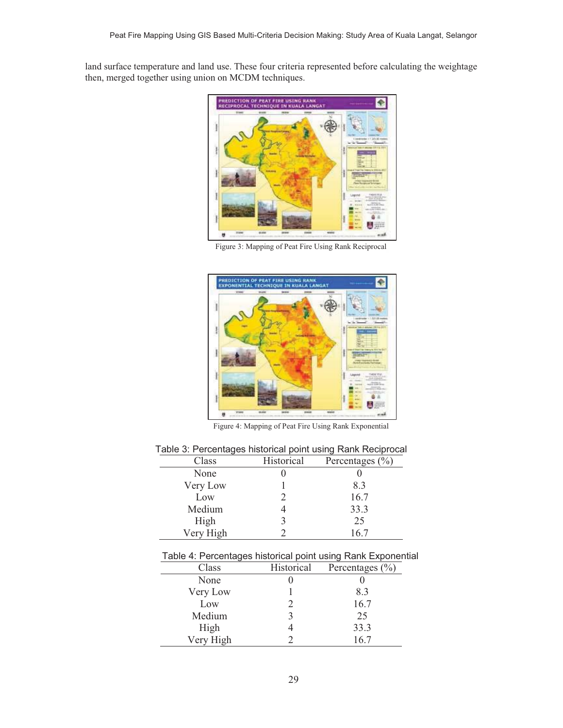land surface temperature and land use. These four criteria represented before calculating the weightage then, merged together using union on MCDM techniques.



Figure 3: Mapping of Peat Fire Using Rank Reciprocal



Figure 4: Mapping of Peat Fire Using Rank Exponential

| Historical | Percentages $(\% )$ |
|------------|---------------------|
|            |                     |
|            | 8.3                 |
|            | 16.7                |
|            | 33.3                |
|            | 25                  |
|            | 16.7                |
|            |                     |

| Table 3: Percentages historical point using Rank Reciprocal |  |  |
|-------------------------------------------------------------|--|--|
|                                                             |  |  |

Table 4: Percentages historical point using Rank Exponential

| Class     | Historical | Percentages $(\% )$ |
|-----------|------------|---------------------|
| None      |            |                     |
| Very Low  |            | 8.3                 |
| Low       |            | 16.7                |
| Medium    |            | 25                  |
| High      |            | 33.3                |
| Very High |            | 16.7                |

 $\overline{a}$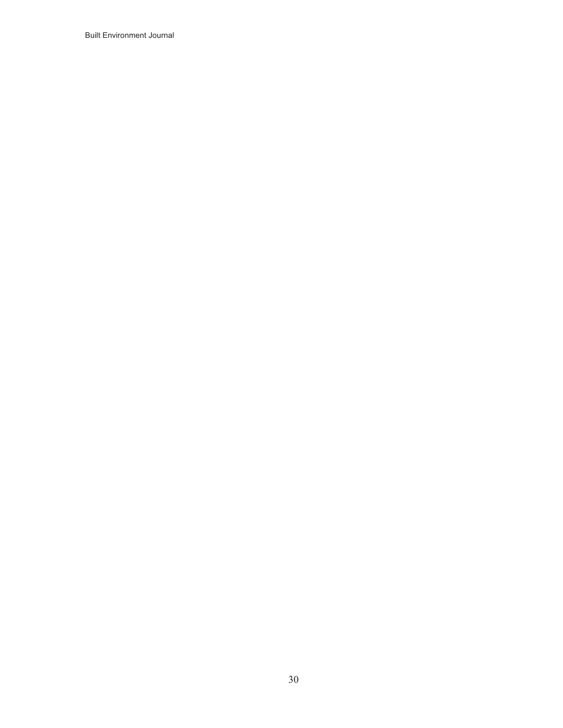Built Environment Journal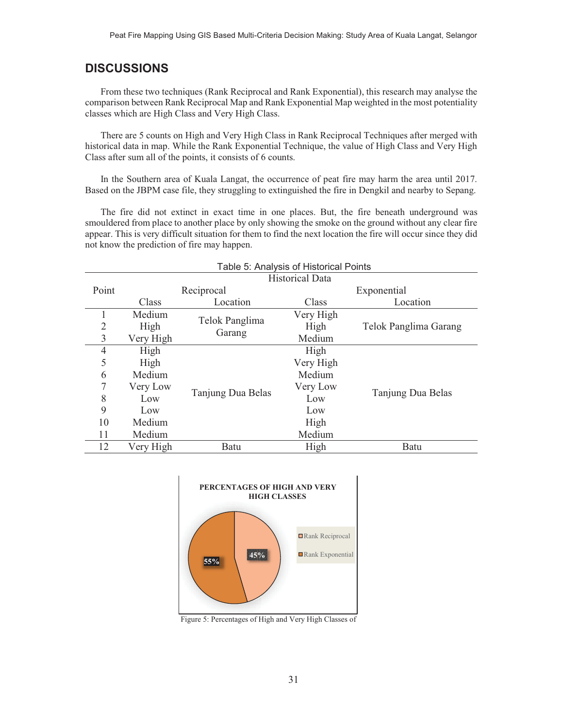## **DISCUSSIONS**

From these two techniques (Rank Reciprocal and Rank Exponential), this research may analyse the comparison between Rank Reciprocal Map and Rank Exponential Map weighted in the most potentiality classes which are High Class and Very High Class.

There are 5 counts on High and Very High Class in Rank Reciprocal Techniques after merged with historical data in map. While the Rank Exponential Technique, the value of High Class and Very High Class after sum all of the points, it consists of 6 counts.

In the Southern area of Kuala Langat, the occurrence of peat fire may harm the area until 2017. Based on the JBPM case file, they struggling to extinguished the fire in Dengkil and nearby to Sepang.

The fire did not extinct in exact time in one places. But, the fire beneath underground was smouldered from place to another place by only showing the smoke on the ground without any clear fire appear. This is very difficult situation for them to find the next location the fire will occur since they did not know the prediction of fire may happen.

| Table 5: Analysis of Historical Points |                        |                   |           |                       |  |
|----------------------------------------|------------------------|-------------------|-----------|-----------------------|--|
|                                        | <b>Historical Data</b> |                   |           |                       |  |
| Point                                  | Reciprocal             |                   |           | Exponential           |  |
|                                        | Class                  | Location          | Class     | Location              |  |
|                                        | Medium                 |                   | Very High |                       |  |
| $\overline{2}$                         | High                   | Telok Panglima    | High      | Telok Panglima Garang |  |
| 3                                      | Very High              | Garang            | Medium    |                       |  |
| 4                                      | High                   |                   | High      |                       |  |
| 5                                      | High                   |                   | Very High |                       |  |
| 6                                      | Medium                 |                   | Medium    |                       |  |
| 7                                      | Very Low               |                   | Very Low  |                       |  |
| 8                                      | Low                    | Tanjung Dua Belas | Low       | Tanjung Dua Belas     |  |
| 9                                      | Low                    |                   | Low       |                       |  |
| 10                                     | Medium                 |                   | High      |                       |  |
| 11                                     | Medium                 |                   | Medium    |                       |  |
| 12                                     | Very High              | Batu              | High      | Batu                  |  |



Figure 5: Percentages of High and Very High Classes of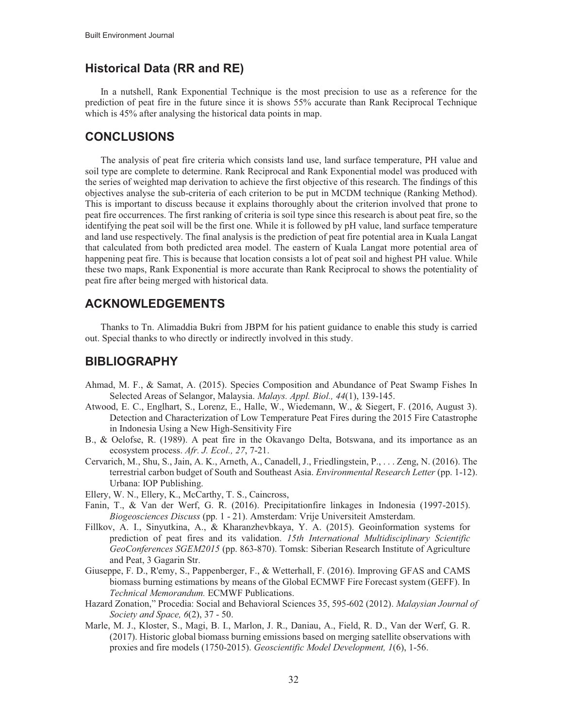## **Historical Data (RR and RE)**

In a nutshell, Rank Exponential Technique is the most precision to use as a reference for the prediction of peat fire in the future since it is shows 55% accurate than Rank Reciprocal Technique which is 45% after analysing the historical data points in map.

## **CONCLUSIONS**

The analysis of peat fire criteria which consists land use, land surface temperature, PH value and soil type are complete to determine. Rank Reciprocal and Rank Exponential model was produced with the series of weighted map derivation to achieve the first objective of this research. The findings of this objectives analyse the sub-criteria of each criterion to be put in MCDM technique (Ranking Method). This is important to discuss because it explains thoroughly about the criterion involved that prone to peat fire occurrences. The first ranking of criteria is soil type since this research is about peat fire, so the identifying the peat soil will be the first one. While it is followed by pH value, land surface temperature and land use respectively. The final analysis is the prediction of peat fire potential area in Kuala Langat that calculated from both predicted area model. The eastern of Kuala Langat more potential area of happening peat fire. This is because that location consists a lot of peat soil and highest PH value. While these two maps, Rank Exponential is more accurate than Rank Reciprocal to shows the potentiality of peat fire after being merged with historical data.

## **ACKNOWLEDGEMENTS**

Thanks to Tn. Alimaddia Bukri from JBPM for his patient guidance to enable this study is carried out. Special thanks to who directly or indirectly involved in this study.

### **BIBLIOGRAPHY**

- Ahmad, M. F., & Samat, A. (2015). Species Composition and Abundance of Peat Swamp Fishes In Selected Areas of Selangor, Malaysia. *Malays. Appl. Biol., 44*(1), 139-145.
- Atwood, E. C., Englhart, S., Lorenz, E., Halle, W., Wiedemann, W., & Siegert, F. (2016, August 3). Detection and Characterization of Low Temperature Peat Fires during the 2015 Fire Catastrophe in Indonesia Using a New High-Sensitivity Fire
- B., & Oelofse, R. (1989). A peat fire in the Okavango Delta, Botswana, and its importance as an ecosystem process. *Afr. J. Ecol., 27*, 7-21.
- Cervarich, M., Shu, S., Jain, A. K., Arneth, A., Canadell, J., Friedlingstein, P., . . . Zeng, N. (2016). The terrestrial carbon budget of South and Southeast Asia. *Environmental Research Letter* (pp. 1-12). Urbana: IOP Publishing.
- Ellery, W. N., Ellery, K., McCarthy, T. S., Caincross,
- Fanin, T., & Van der Werf, G. R. (2016). Precipitationfire linkages in Indonesia (1997-2015). *Biogeosciences Discuss* (pp. 1 - 21). Amsterdam: Vrije Universiteit Amsterdam.
- Fillkov, A. I., Sinyutkina, A., & Kharanzhevbkaya, Y. A. (2015). Geoinformation systems for prediction of peat fires and its validation. *15th International Multidisciplinary Scientific GeoConferences SGEM2015* (pp. 863-870). Tomsk: Siberian Research Institute of Agriculture and Peat, 3 Gagarin Str.
- Giuseppe, F. D., R'emy, S., Pappenberger, F., & Wetterhall, F. (2016). Improving GFAS and CAMS biomass burning estimations by means of the Global ECMWF Fire Forecast system (GEFF). In *Technical Memorandum.* ECMWF Publications.
- Hazard Zonation," Procedia: Social and Behavioral Sciences 35, 595-602 (2012). *Malaysian Journal of Society and Space, 6*(2), 37 - 50.
- Marle, M. J., Kloster, S., Magi, B. I., Marlon, J. R., Daniau, A., Field, R. D., Van der Werf, G. R. (2017). Historic global biomass burning emissions based on merging satellite observations with proxies and fire models (1750-2015). *Geoscientific Model Development, 1*(6), 1-56.